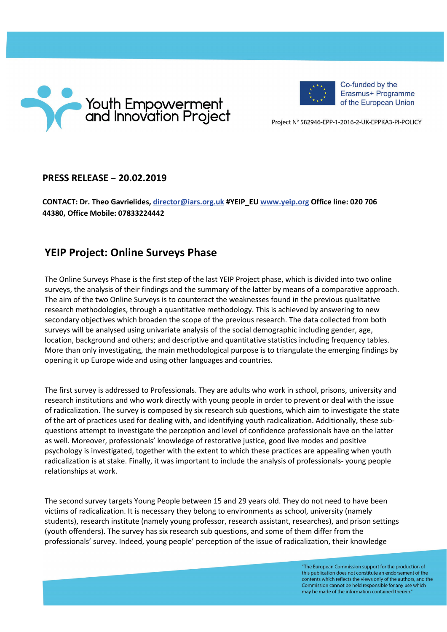



Co-funded by the Erasmus+ Programme of the European Union

Project N° 582946-EPP-1-2016-2-UK-EPPKA3-PI-POLICY

## **PRESS RELEASE – 20.02.2019**

**CONTACT: Dr. Theo Gavrielides, [director@iars.org.uk](mailto:director@iars.org.uk) #YEIP\_EU [www.yeip.org](http://www.yeip.org/) Office line: 020 706 44380, Office Mobile: 07833224442**

## **YEIP Project: Online Surveys Phase**

The Online Surveys Phase is the first step of the last YEIP Project phase, which is divided into two online surveys, the analysis of their findings and the summary of the latter by means of a comparative approach. The aim of the two Online Surveys is to counteract the weaknesses found in the previous qualitative research methodologies, through a quantitative methodology. This is achieved by answering to new secondary objectives which broaden the scope of the previous research. The data collected from both surveys will be analysed using univariate analysis of the social demographic including gender, age, location, background and others; and descriptive and quantitative statistics including frequency tables. More than only investigating, the main methodological purpose is to triangulate the emerging findings by opening it up Europe wide and using other languages and countries.

The first survey is addressed to Professionals. They are adults who work in school, prisons, university and research institutions and who work directly with young people in order to prevent or deal with the issue of radicalization. The survey is composed by six research sub questions, which aim to investigate the state of the art of practices used for dealing with, and identifying youth radicalization. Additionally, these subquestions attempt to investigate the perception and level of confidence professionals have on the latter as well. Moreover, professionals' knowledge of restorative justice, good live modes and positive psychology is investigated, together with the extent to which these practices are appealing when youth radicalization is at stake. Finally, it was important to include the analysis of professionals- young people relationships at work.

The second survey targets Young People between 15 and 29 years old. They do not need to have been victims of radicalization. It is necessary they belong to environments as school, university (namely students), research institute (namely young professor, research assistant, researches), and prison settings (youth offenders). The survey has six research sub questions, and some of them differ from the professionals' survey. Indeed, young people' perception of the issue of radicalization, their knowledge

> "The European Commission support for the production of this publication does not constitute an endorsement of the contents which reflects the views only of the authors, and the Commission cannot be held responsible for any use which may be made of the information contained therein."